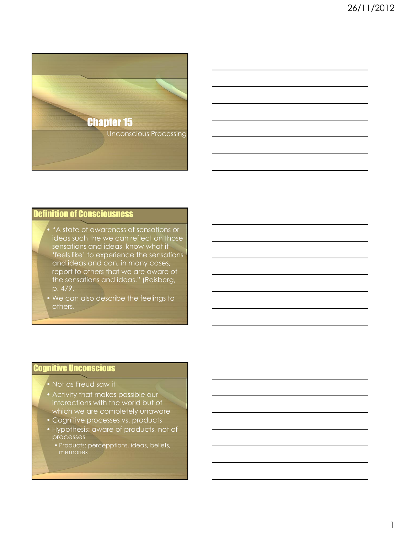

# Definition of Consciousness

• "A state of awareness of sensations or ideas such the we can reflect on those sensations and ideas, know what it 'feels like' to experience the sensations and ideas and can, in many cases, report to others that we are aware of the sensations and ideas." (Reisberg, p. 479.

• We can also describe the feelings to others.

#### Cognitive Unconscious

- Not as Freud saw it
- Activity that makes possible our interactions with the world but of which we are completely unaware
- Cognitive processes vs. products
- Hypothesis: aware of products, not of processes
	- Products: percepptions, ideas, beliefs, memories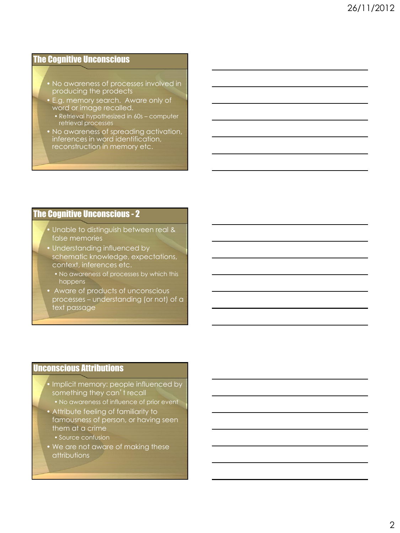#### The Cognitive Unconscious

- No awareness of processes involved in producing the prodects
- E.g. memory search. Aware only of word or image recalled.
	- Retrieval hypothesized in 60s computer retrieval processes
- No awareness of spreading activation, inferences in word identification, reconstruction in memory etc.

### The Cognitive Unconscious - 2

- Unable to distinguish between real & false memories
- Understanding influenced by schematic knowledge, expectations, context, inferences etc.
	- No awareness of processes by which this happens
- Aware of products of unconscious processes – understanding (or not) of a text passage

### Unconscious Attributions

- Implicit memory: people influenced by something they can't recall
	- No awareness of influence of prior event
- Attribute feeling of familiarity to famousness of person, or having seen them at a crime
	- Source confusion
- We are not aware of making these attributions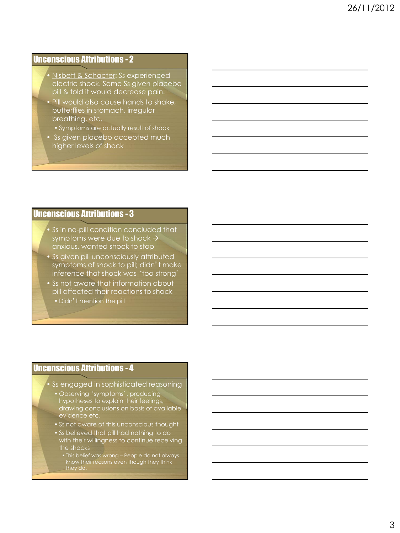## Unconscious Attributions - 2

- Nisbett & Schacter: Ss experienced electric shock. Some Ss given placebo pill & told it would decrease pain.
- Pill would also cause hands to shake, butterflies in stomach, irregular breathing, etc.
	- Symptoms are actually result of shock
- Ss given placebo accepted much higher levels of shock

#### Unconscious Attributions - 3

- Ss in no-pill condition concluded that symptoms were due to shock  $\rightarrow$ anxious, wanted shock to stop
- Ss given pill unconsciously attributed symptoms of shock to pill; didn't make inference that shock was 'too strong'
- Ss not aware that information about pill affected their reactions to shock
	- Didn't mention the pill

#### Unconscious Attributions - 4

- Ss engaged in sophisticated reasoning
	- Observing 'symptoms', producing hypotheses to explain their feelings, drawing conclusions on basis of available evidence etc.
	- Ss not aware of this unconscious thought
	- Ss believed that pill had nothing to do with their willingness to continue receiving the shocks
		- •This belief was wrong People do not always know their reasons even though they think they do.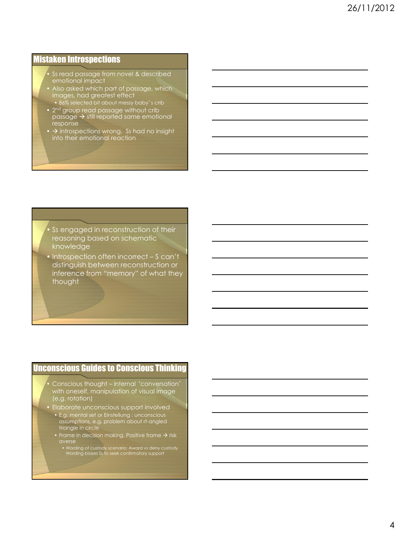#### Mistaken Introspections

- Ss read passage from novel & described<br>emotional impact emotional impact
- Also asked which part of passage, which images, had greatest effect
	- 86% selected bit about messy baby's crib
- 2<sup>nd</sup> group read passage without crib passage  $\rightarrow$  still reported same emotional response
- $\bullet$   $\rightarrow$  introspections wrong. Ss had no insight into their emotional reaction

Ss engaged in reconstruction of their reasoning based on schematic knowledge

• Introspection often incorrect – S can't distinguish between reconstruction or inference from "memory" of what they thought

#### Unconscious Guides to Conscious Thinking

- Conscious thought internal 'conversation' with oneself, manipulation of visual image (e.g. rotation)
- Elaborate unconscious support involved
	- E.g. mental set or Einstellung : unconscious assumptions, e.g. problem about rt-angled triangle in circle
	- Frame in decision making. Positive frame  $\rightarrow$  risk
		- Wording of custody scenario: Award vs deny custody. Wording biases Ss to seek confirmatory support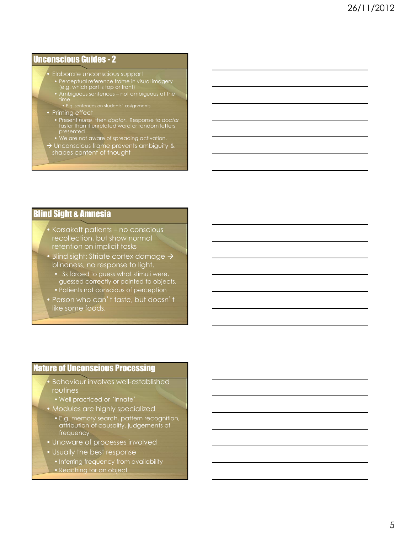## Unconscious Guides - 2

- Elaborate unconscious support
- Perceptual reference frame in visual imagery (e.g. which part is top or front)
- Ambiguous sentences not ambiguous at the time • E.g. sentences on students' assignments

- Priming effect
	- Present *nurse*, then *doctor*. Response to *doctor* faster than if unrelated word or random letters presented
	- We are not aware of spreading activation.
- $\rightarrow$  Unconscious frame prevents ambiguity & shapes content of thought

### Blind Sight & Amnesia

- Korsakoff patients no conscious recollection, but show normal retention on implicit tasks
- Blind sight: Striate cortex damage  $\rightarrow$ blindness, no response to light.
	- Ss forced to guess what stimuli were, guessed correctly or pointed to objects.
	- Patients not conscious of perception
- Person who can't taste, but doesn't like some foods.

#### Nature of Unconscious Processing

- Behaviour involves well-established routines
- Well practiced or 'innate'
- Modules are highly specialized
	- E.g. memory search, pattern recognition, attribution of causality, judgements of frequency
- Unaware of processes involved
- Usually the best response
	- Inferring frequency from availability
	- Reaching for an object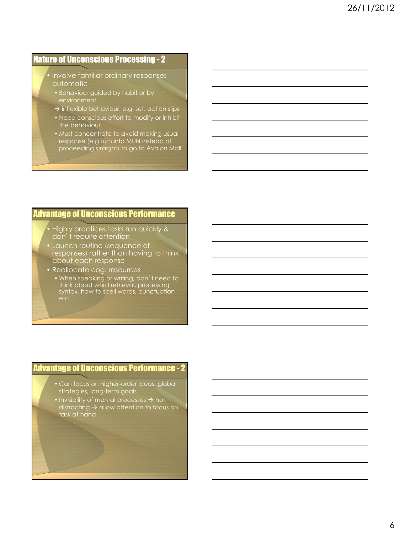### Nature of Unconscious Processing - 2

- Involve familiar ordinary responses automatic
- Behaviour guided by habit or by
- $\rightarrow$  inflexible behaviour, e.g. set, action slips
- Need conscious effort to modify or inhibit the behaviour
- Must concentrate to avoid making usual response (e.g turn into MUN instead of proceeding straight) to go to Avalon Mall

### Advantage of Unconscious Performance

- Highly practices tasks run quickly & don't require attention
- Launch routine (sequence of responses) rather than having to think about each response
- Reallocate cog. resources
	- When speaking or writing, don't need to think about word retrieval, processing syntax, how to spell words, punctuation etc.

#### Advantage of Unconscious Performance - 2

- Can focus on higher-order ideas, global strategies, long-term goals
- Invisibility of mental processes  $\rightarrow$  not distracting  $\rightarrow$  allow attention to focus on task at hand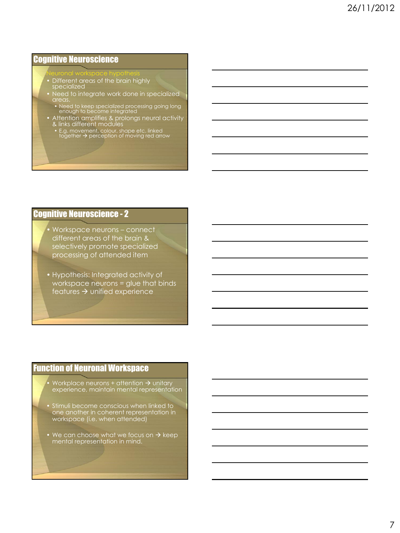#### Cognitive Neuroscience

#### Neuronal workspace hypothesis

- Different areas of the brain highly specialized
- Need to integrate work done in specialized areas.
- Need to keep specialized processing going long enough to become integrated
- Attention amplifies & prolongs neural activity & links different modules
	- E.g. movement, colour, shape etc. linked<br>together → perception of moving red arrow

### Cognitive Neuroscience - 2

- Workspace neurons connect different areas of the brain & selectively promote specialized processing of attended item
- Hypothesis: Integrated activity of workspace neurons = glue that binds features  $\rightarrow$  unified experience

### Function of Neuronal Workspace

- Workplace neurons + attention  $\rightarrow$  unitary experience, maintain mental representation
- Stimuli become conscious when linked to one another in coherent representation in workspace (i.e. when attended)
- We can choose what we focus on  $\rightarrow$  keep mental representation in mind.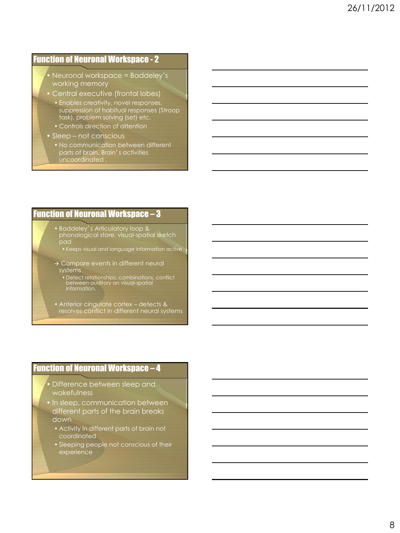## Function of Neuronal Workspace - 2

- Neuronal workspace = Baddeley's working memory
- Central executive (frontal lobes)
	- Enables creativity, novel responses, suppression of habitual responses (Stroop task), problem solving (set) etc.
	- Controls direction of attention
- Sleep not conscious
	- No communication between different parts of brain, Brain's activities uncoordinated .

#### Function of Neuronal Workspace – 3

- Baddeley's Articulatory loop & phonological store, visual-spatial sketch
	- •Keeps visual and language information active
- > Compare events in different neural systems
	- •Detect relationships, combinations, conflict between auditory an visual-spatial information.
- Anterior cingulate cortex detects & resolves conflict in different neural systems

#### Function of Neuronal Workspace – 4

- Difference between sleep and wakefulness
- In sleep, communication between different parts of the brain breaks down
	- Activity in different parts of brain not coordinated
	- Sleeping people not conscious of their experience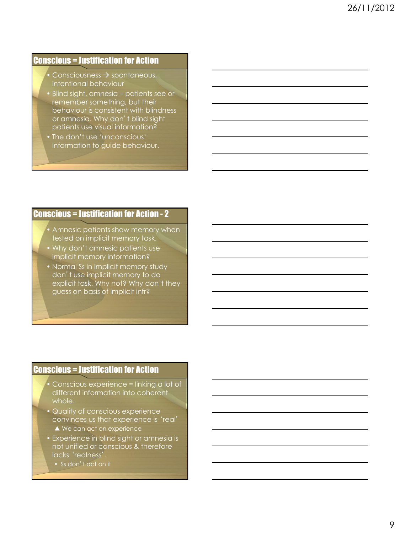### Conscious = Justification for Action

- Consciousness  $\rightarrow$  spontaneous, intentional behaviour
- Blind sight, amnesia patients see or remember something, but their behaviour is consistent with blindness or amnesia. Why don't blind sight patients use visual information?
- The don't use 'unconscious' information to guide behaviour.

#### Conscious = Justification for Action - 2

- Amnesic patients show memory when tested on implicit memory task.
- Why don't amnesic patients use implicit memory information?
- Normal Ss in implicit memory study don't use implicit memory to do explicit task. Why not? Why don't they guess on basis of implicit infr?

#### Conscious = Justification for Action

- Conscious experience = linking a lot of different information into coherent whole.
- Quality of conscious experience convinces us that experience is 'real' ▲ We can act on experience
- Experience in blind sight or amnesia is not unified or conscious & therefore lacks 'realness'.
	- Ss don't act on it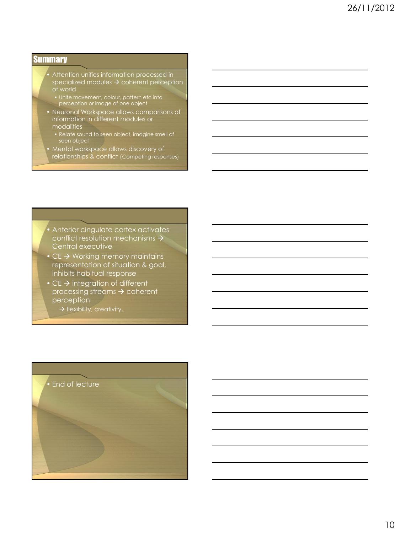#### **Summary**

- Attention unifies information processed in specialized modules  $\rightarrow$  coherent perception of world
- perception or image of one object
- Neuronal Workspace allows comparisons of information in different modules or modalities
	- Relate sound to seen object, imagine smell of seen object
- Mental workspace allows discovery of
- relationships & conflict (Competing responses)

• Anterior cingulate cortex activates conflict resolution mechanisms  $\rightarrow$ Central executive

- $CE \rightarrow W$ orking memory maintains representation of situation & goal, inhibits habitual response
- $CE \rightarrow$  integration of different processing streams  $\rightarrow$  coherent perception
	- $\rightarrow$  flexibility, creativity.